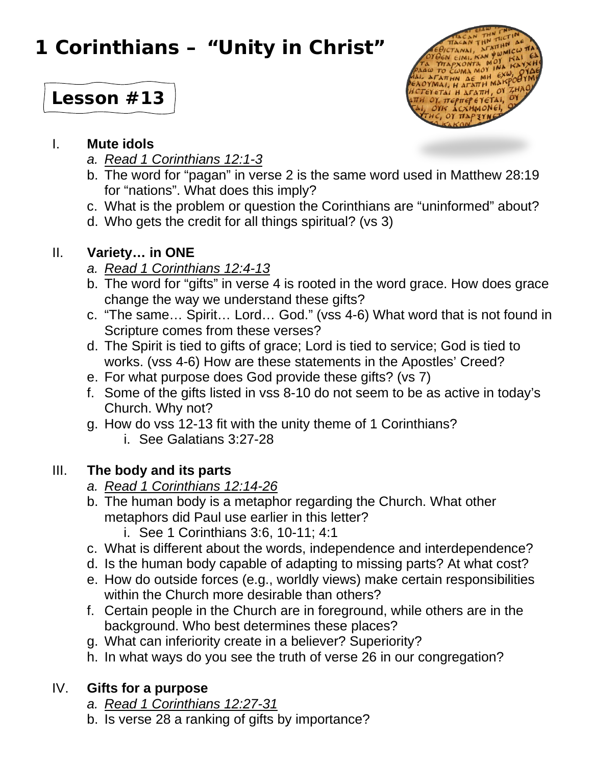# **1 Corinthians – "Unity in Christ"**

# **Lesson #13**



#### I. **Mute idols**

- *a. Read 1 Corinthians 12:1-3*
- b. The word for "pagan" in verse 2 is the same word used in Matthew 28:19 for "nations". What does this imply?
- c. What is the problem or question the Corinthians are "uninformed" about?
- d. Who gets the credit for all things spiritual? (vs 3)

## II. **Variety… in ONE**

- *a. Read 1 Corinthians 12:4-13*
- b. The word for "gifts" in verse 4 is rooted in the word grace. How does grace change the way we understand these gifts?
- c. "The same… Spirit… Lord… God." (vss 4-6) What word that is not found in Scripture comes from these verses?
- d. The Spirit is tied to gifts of grace; Lord is tied to service; God is tied to works. (vss 4-6) How are these statements in the Apostles' Creed?
- e. For what purpose does God provide these gifts? (vs 7)
- f. Some of the gifts listed in vss 8-10 do not seem to be as active in today's Church. Why not?
- g. How do vss 12-13 fit with the unity theme of 1 Corinthians?
	- i. See Galatians 3:27-28

# III. **The body and its parts**

- *a. Read 1 Corinthians 12:14-26*
- b. The human body is a metaphor regarding the Church. What other metaphors did Paul use earlier in this letter?
	- i. See 1 Corinthians 3:6, 10-11; 4:1
- c. What is different about the words, independence and interdependence?
- d. Is the human body capable of adapting to missing parts? At what cost?
- e. How do outside forces (e.g., worldly views) make certain responsibilities within the Church more desirable than others?
- f. Certain people in the Church are in foreground, while others are in the background. Who best determines these places?
- g. What can inferiority create in a believer? Superiority?
- h. In what ways do you see the truth of verse 26 in our congregation?

### IV. **Gifts for a purpose**

- *a. Read 1 Corinthians 12:27-31*
- b. Is verse 28 a ranking of gifts by importance?